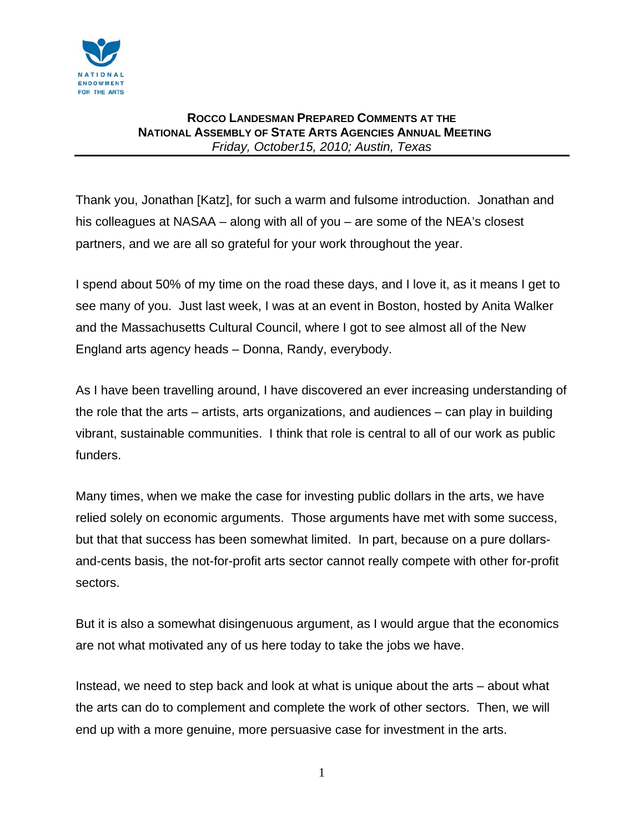

## **ROCCO LANDESMAN PREPARED COMMENTS AT THE NATIONAL ASSEMBLY OF STATE ARTS AGENCIES ANNUAL MEETING** *Friday, October15, 2010; Austin, Texas*

Thank you, Jonathan [Katz], for such a warm and fulsome introduction. Jonathan and his colleagues at NASAA – along with all of you – are some of the NEA's closest partners, and we are all so grateful for your work throughout the year.

I spend about 50% of my time on the road these days, and I love it, as it means I get to see many of you. Just last week, I was at an event in Boston, hosted by Anita Walker and the Massachusetts Cultural Council, where I got to see almost all of the New England arts agency heads – Donna, Randy, everybody.

As I have been travelling around, I have discovered an ever increasing understanding of the role that the arts – artists, arts organizations, and audiences – can play in building vibrant, sustainable communities. I think that role is central to all of our work as public funders.

Many times, when we make the case for investing public dollars in the arts, we have relied solely on economic arguments. Those arguments have met with some success, but that that success has been somewhat limited. In part, because on a pure dollarsand-cents basis, the not-for-profit arts sector cannot really compete with other for-profit sectors.

But it is also a somewhat disingenuous argument, as I would argue that the economics are not what motivated any of us here today to take the jobs we have.

Instead, we need to step back and look at what is unique about the arts – about what the arts can do to complement and complete the work of other sectors. Then, we will end up with a more genuine, more persuasive case for investment in the arts.

1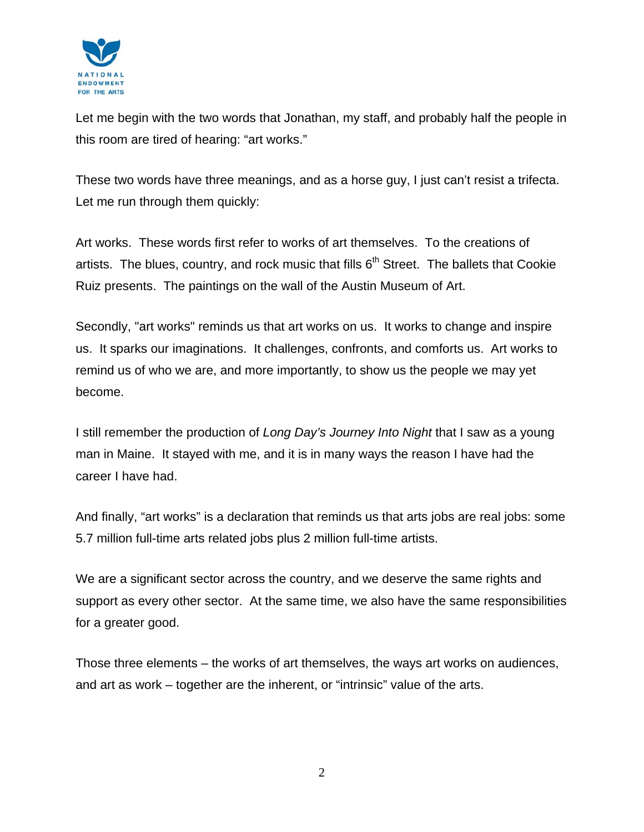

Let me begin with the two words that Jonathan, my staff, and probably half the people in this room are tired of hearing: "art works."

These two words have three meanings, and as a horse guy, I just can't resist a trifecta. Let me run through them quickly:

Art works. These words first refer to works of art themselves. To the creations of artists. The blues, country, and rock music that fills  $6<sup>th</sup>$  Street. The ballets that Cookie Ruiz presents. The paintings on the wall of the Austin Museum of Art.

Secondly, "art works" reminds us that art works on us. It works to change and inspire us. It sparks our imaginations. It challenges, confronts, and comforts us. Art works to remind us of who we are, and more importantly, to show us the people we may yet become.

I still remember the production of *Long Day's Journey Into Night* that I saw as a young man in Maine. It stayed with me, and it is in many ways the reason I have had the career I have had.

And finally, "art works" is a declaration that reminds us that arts jobs are real jobs: some 5.7 million full-time arts related jobs plus 2 million full-time artists.

We are a significant sector across the country, and we deserve the same rights and support as every other sector. At the same time, we also have the same responsibilities for a greater good.

Those three elements – the works of art themselves, the ways art works on audiences, and art as work – together are the inherent, or "intrinsic" value of the arts.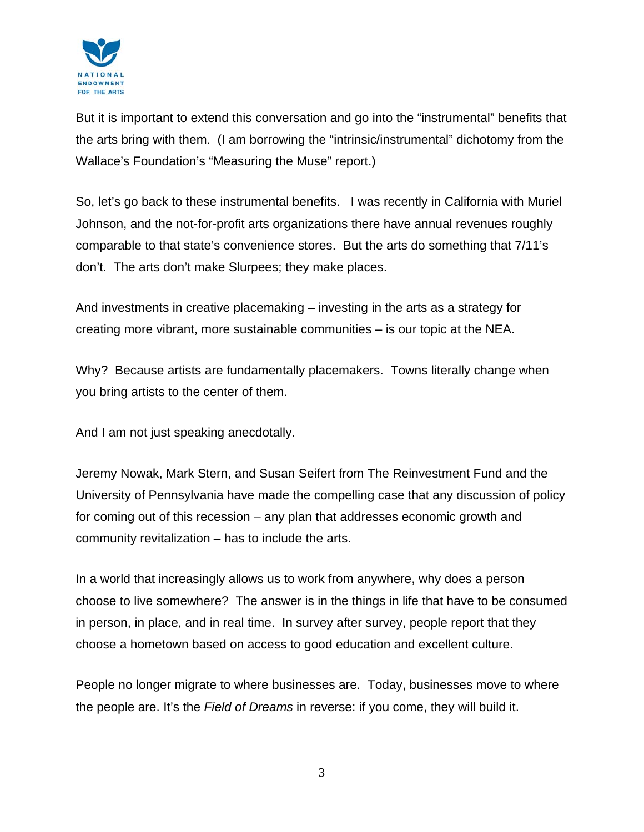

But it is important to extend this conversation and go into the "instrumental" benefits that the arts bring with them. (I am borrowing the "intrinsic/instrumental" dichotomy from the Wallace's Foundation's "Measuring the Muse" report.)

So, let's go back to these instrumental benefits. I was recently in California with Muriel Johnson, and the not-for-profit arts organizations there have annual revenues roughly comparable to that state's convenience stores. But the arts do something that 7/11's don't. The arts don't make Slurpees; they make places.

And investments in creative placemaking – investing in the arts as a strategy for creating more vibrant, more sustainable communities – is our topic at the NEA.

Why? Because artists are fundamentally placemakers. Towns literally change when you bring artists to the center of them.

And I am not just speaking anecdotally.

Jeremy Nowak, Mark Stern, and Susan Seifert from The Reinvestment Fund and the University of Pennsylvania have made the compelling case that any discussion of policy for coming out of this recession – any plan that addresses economic growth and community revitalization – has to include the arts.

In a world that increasingly allows us to work from anywhere, why does a person choose to live somewhere? The answer is in the things in life that have to be consumed in person, in place, and in real time. In survey after survey, people report that they choose a hometown based on access to good education and excellent culture.

People no longer migrate to where businesses are. Today, businesses move to where the people are. It's the *Field of Dreams* in reverse: if you come, they will build it.

3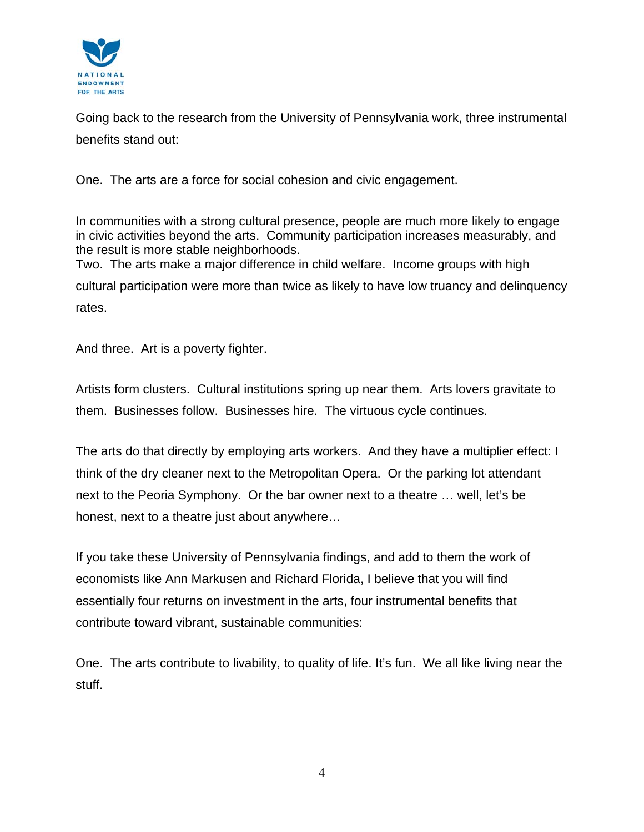

Going back to the research from the University of Pennsylvania work, three instrumental benefits stand out:

One. The arts are a force for social cohesion and civic engagement.

In communities with a strong cultural presence, people are much more likely to engage in civic activities beyond the arts. Community participation increases measurably, and the result is more stable neighborhoods.

Two. The arts make a major difference in child welfare. Income groups with high cultural participation were more than twice as likely to have low truancy and delinquency rates.

And three. Art is a poverty fighter.

Artists form clusters. Cultural institutions spring up near them. Arts lovers gravitate to them. Businesses follow. Businesses hire. The virtuous cycle continues.

The arts do that directly by employing arts workers. And they have a multiplier effect: I think of the dry cleaner next to the Metropolitan Opera. Or the parking lot attendant next to the Peoria Symphony. Or the bar owner next to a theatre … well, let's be honest, next to a theatre just about anywhere…

If you take these University of Pennsylvania findings, and add to them the work of economists like Ann Markusen and Richard Florida, I believe that you will find essentially four returns on investment in the arts, four instrumental benefits that contribute toward vibrant, sustainable communities:

One. The arts contribute to livability, to quality of life. It's fun. We all like living near the stuff.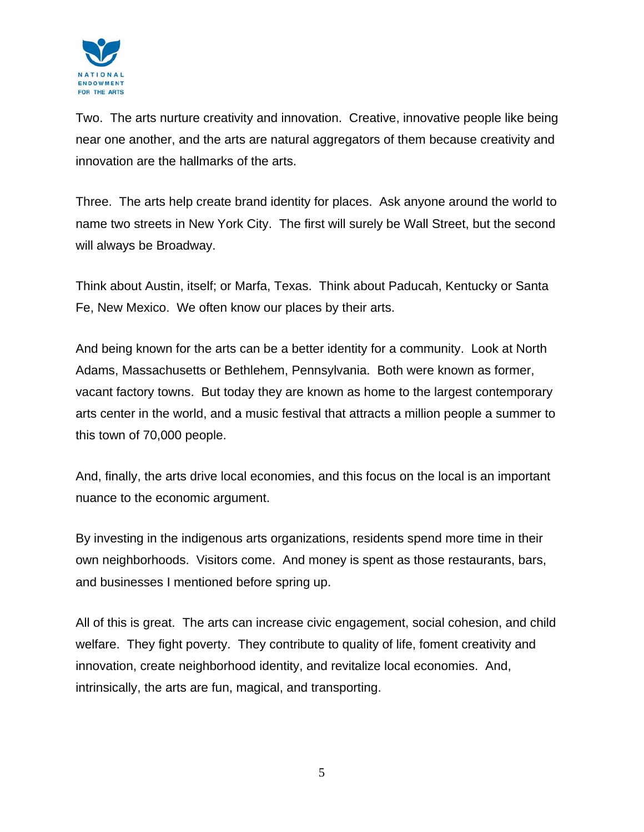

Two. The arts nurture creativity and innovation. Creative, innovative people like being near one another, and the arts are natural aggregators of them because creativity and innovation are the hallmarks of the arts.

Three. The arts help create brand identity for places. Ask anyone around the world to name two streets in New York City. The first will surely be Wall Street, but the second will always be Broadway.

Think about Austin, itself; or Marfa, Texas. Think about Paducah, Kentucky or Santa Fe, New Mexico. We often know our places by their arts.

And being known for the arts can be a better identity for a community. Look at North Adams, Massachusetts or Bethlehem, Pennsylvania. Both were known as former, vacant factory towns. But today they are known as home to the largest contemporary arts center in the world, and a music festival that attracts a million people a summer to this town of 70,000 people.

And, finally, the arts drive local economies, and this focus on the local is an important nuance to the economic argument.

By investing in the indigenous arts organizations, residents spend more time in their own neighborhoods. Visitors come. And money is spent as those restaurants, bars, and businesses I mentioned before spring up.

All of this is great. The arts can increase civic engagement, social cohesion, and child welfare. They fight poverty. They contribute to quality of life, foment creativity and innovation, create neighborhood identity, and revitalize local economies. And, intrinsically, the arts are fun, magical, and transporting.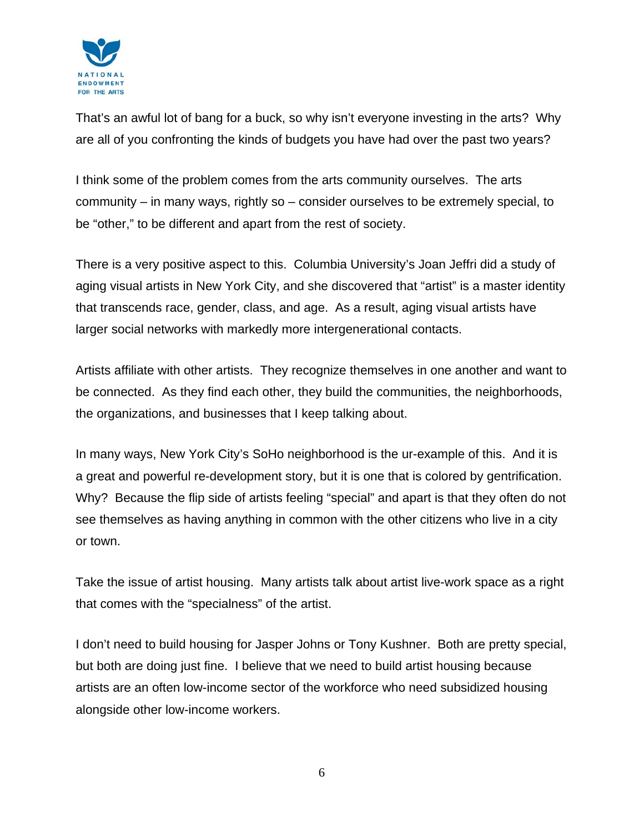

That's an awful lot of bang for a buck, so why isn't everyone investing in the arts? Why are all of you confronting the kinds of budgets you have had over the past two years?

I think some of the problem comes from the arts community ourselves. The arts community – in many ways, rightly so – consider ourselves to be extremely special, to be "other," to be different and apart from the rest of society.

There is a very positive aspect to this. Columbia University's Joan Jeffri did a study of aging visual artists in New York City, and she discovered that "artist" is a master identity that transcends race, gender, class, and age. As a result, aging visual artists have larger social networks with markedly more intergenerational contacts.

Artists affiliate with other artists. They recognize themselves in one another and want to be connected. As they find each other, they build the communities, the neighborhoods, the organizations, and businesses that I keep talking about.

In many ways, New York City's SoHo neighborhood is the ur-example of this. And it is a great and powerful re-development story, but it is one that is colored by gentrification. Why? Because the flip side of artists feeling "special" and apart is that they often do not see themselves as having anything in common with the other citizens who live in a city or town.

Take the issue of artist housing. Many artists talk about artist live-work space as a right that comes with the "specialness" of the artist.

I don't need to build housing for Jasper Johns or Tony Kushner. Both are pretty special, but both are doing just fine. I believe that we need to build artist housing because artists are an often low-income sector of the workforce who need subsidized housing alongside other low-income workers.

6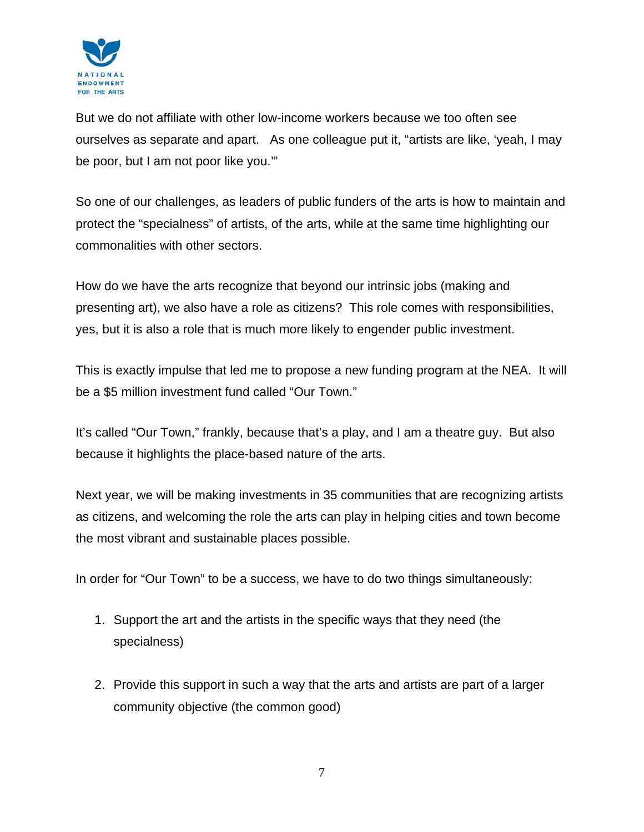

But we do not affiliate with other low-income workers because we too often see ourselves as separate and apart. As one colleague put it, "artists are like, 'yeah, I may be poor, but I am not poor like you.'"

So one of our challenges, as leaders of public funders of the arts is how to maintain and protect the "specialness" of artists, of the arts, while at the same time highlighting our commonalities with other sectors.

How do we have the arts recognize that beyond our intrinsic jobs (making and presenting art), we also have a role as citizens? This role comes with responsibilities, yes, but it is also a role that is much more likely to engender public investment.

This is exactly impulse that led me to propose a new funding program at the NEA. It will be a \$5 million investment fund called "Our Town."

It's called "Our Town," frankly, because that's a play, and I am a theatre guy. But also because it highlights the place-based nature of the arts.

Next year, we will be making investments in 35 communities that are recognizing artists as citizens, and welcoming the role the arts can play in helping cities and town become the most vibrant and sustainable places possible.

In order for "Our Town" to be a success, we have to do two things simultaneously:

- 1. Support the art and the artists in the specific ways that they need (the specialness)
- 2. Provide this support in such a way that the arts and artists are part of a larger community objective (the common good)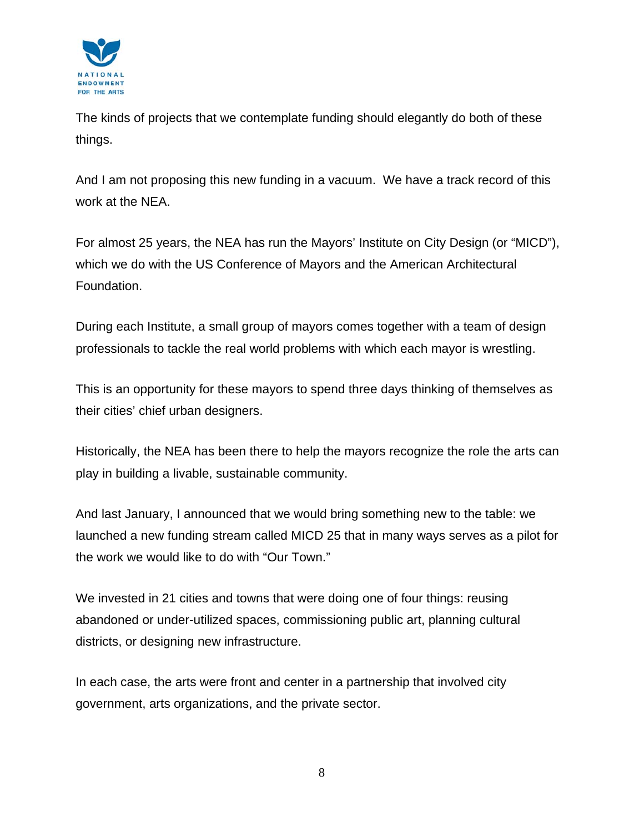

The kinds of projects that we contemplate funding should elegantly do both of these things.

And I am not proposing this new funding in a vacuum. We have a track record of this work at the NEA.

For almost 25 years, the NEA has run the Mayors' Institute on City Design (or "MICD"), which we do with the US Conference of Mayors and the American Architectural Foundation.

During each Institute, a small group of mayors comes together with a team of design professionals to tackle the real world problems with which each mayor is wrestling.

This is an opportunity for these mayors to spend three days thinking of themselves as their cities' chief urban designers.

Historically, the NEA has been there to help the mayors recognize the role the arts can play in building a livable, sustainable community.

And last January, I announced that we would bring something new to the table: we launched a new funding stream called MICD 25 that in many ways serves as a pilot for the work we would like to do with "Our Town."

We invested in 21 cities and towns that were doing one of four things: reusing abandoned or under-utilized spaces, commissioning public art, planning cultural districts, or designing new infrastructure.

In each case, the arts were front and center in a partnership that involved city government, arts organizations, and the private sector.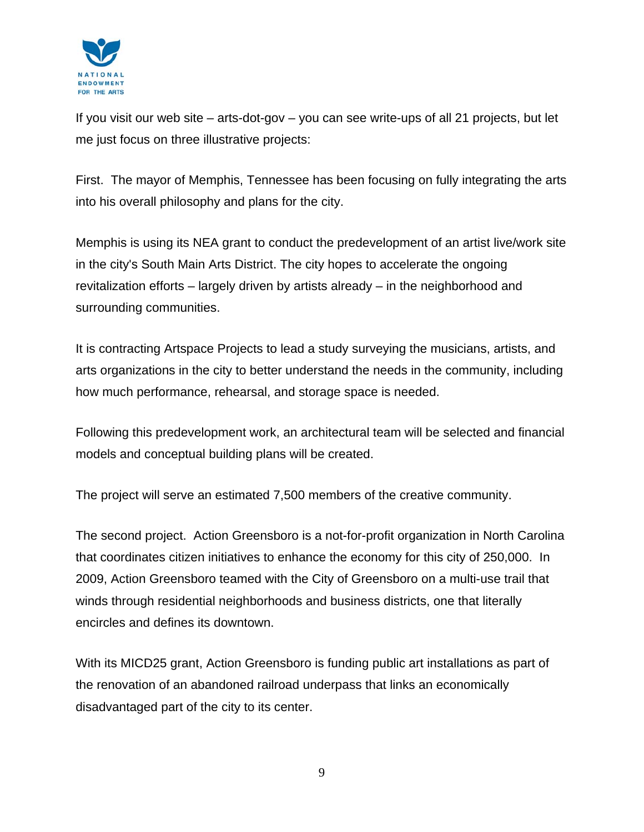

If you visit our web site – arts-dot-gov – you can see write-ups of all 21 projects, but let me just focus on three illustrative projects:

First. The mayor of Memphis, Tennessee has been focusing on fully integrating the arts into his overall philosophy and plans for the city.

Memphis is using its NEA grant to conduct the predevelopment of an artist live/work site in the city's South Main Arts District. The city hopes to accelerate the ongoing revitalization efforts – largely driven by artists already – in the neighborhood and surrounding communities.

It is contracting Artspace Projects to lead a study surveying the musicians, artists, and arts organizations in the city to better understand the needs in the community, including how much performance, rehearsal, and storage space is needed.

Following this predevelopment work, an architectural team will be selected and financial models and conceptual building plans will be created.

The project will serve an estimated 7,500 members of the creative community.

The second project. Action Greensboro is a not-for-profit organization in North Carolina that coordinates citizen initiatives to enhance the economy for this city of 250,000. In 2009, Action Greensboro teamed with the City of Greensboro on a multi-use trail that winds through residential neighborhoods and business districts, one that literally encircles and defines its downtown.

With its MICD25 grant, Action Greensboro is funding public art installations as part of the renovation of an abandoned railroad underpass that links an economically disadvantaged part of the city to its center.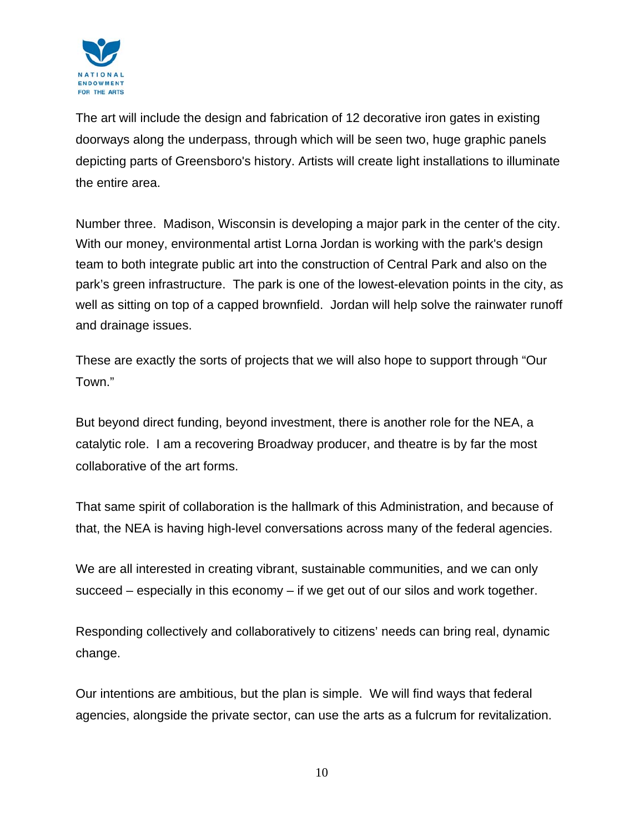

The art will include the design and fabrication of 12 decorative iron gates in existing doorways along the underpass, through which will be seen two, huge graphic panels depicting parts of Greensboro's history. Artists will create light installations to illuminate the entire area.

Number three. Madison, Wisconsin is developing a major park in the center of the city. With our money, environmental artist Lorna Jordan is working with the park's design team to both integrate public art into the construction of Central Park and also on the park's green infrastructure. The park is one of the lowest-elevation points in the city, as well as sitting on top of a capped brownfield. Jordan will help solve the rainwater runoff and drainage issues.

These are exactly the sorts of projects that we will also hope to support through "Our Town."

But beyond direct funding, beyond investment, there is another role for the NEA, a catalytic role. I am a recovering Broadway producer, and theatre is by far the most collaborative of the art forms.

That same spirit of collaboration is the hallmark of this Administration, and because of that, the NEA is having high-level conversations across many of the federal agencies.

We are all interested in creating vibrant, sustainable communities, and we can only succeed – especially in this economy – if we get out of our silos and work together.

Responding collectively and collaboratively to citizens' needs can bring real, dynamic change.

Our intentions are ambitious, but the plan is simple. We will find ways that federal agencies, alongside the private sector, can use the arts as a fulcrum for revitalization.